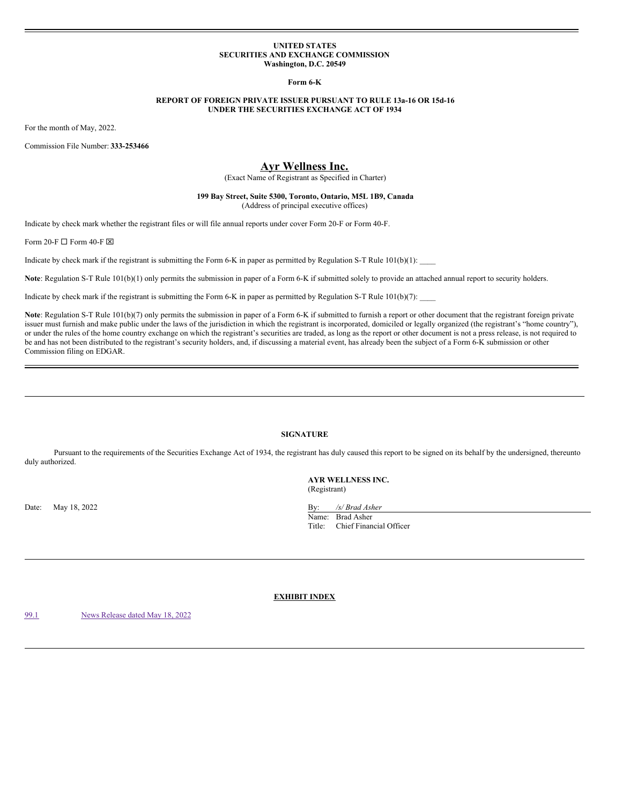#### **UNITED STATES SECURITIES AND EXCHANGE COMMISSION Washington, D.C. 20549**

**Form 6-K**

## **REPORT OF FOREIGN PRIVATE ISSUER PURSUANT TO RULE 13a-16 OR 15d-16 UNDER THE SECURITIES EXCHANGE ACT OF 1934**

For the month of May, 2022.

Commission File Number: **333-253466**

# **Ayr Wellness Inc.**

(Exact Name of Registrant as Specified in Charter)

## **199 Bay Street, Suite 5300, Toronto, Ontario, M5L 1B9, Canada** (Address of principal executive offices)

Indicate by check mark whether the registrant files or will file annual reports under cover Form 20-F or Form 40-F.

Form 20-F  $\Box$  Form 40-F  $\boxtimes$ 

Indicate by check mark if the registrant is submitting the Form 6-K in paper as permitted by Regulation S-T Rule  $101(b)(1)$ :

**Note**: Regulation S-T Rule 101(b)(1) only permits the submission in paper of a Form 6-K if submitted solely to provide an attached annual report to security holders.

Indicate by check mark if the registrant is submitting the Form 6-K in paper as permitted by Regulation S-T Rule  $101(b)(7)$ :

Note: Regulation S-T Rule 101(b)(7) only permits the submission in paper of a Form 6-K if submitted to furnish a report or other document that the registrant foreign private issuer must furnish and make public under the laws of the jurisdiction in which the registrant is incorporated, domiciled or legally organized (the registrant's "home country"), or under the rules of the home country exchange on which the registrant's securities are traded, as long as the report or other document is not a press release, is not required to be and has not been distributed to the registrant's security holders, and, if discussing a material event, has already been the subject of a Form 6-K submission or other Commission filing on EDGAR.

## **SIGNATURE**

Pursuant to the requirements of the Securities Exchange Act of 1934, the registrant has duly caused this report to be signed on its behalf by the undersigned, thereunto duly authorized.

Date: May 18, 2022 By: */s/ Brad Asher* By: */s/ Brad Asher* 

**AYR WELLNESS INC.** (Registrant)

Name: Brad Asher Title: Chief Financial Officer

**EXHIBIT INDEX**

[99.1](#page-1-0) News [Release](#page-1-0) dated May 18, 2022